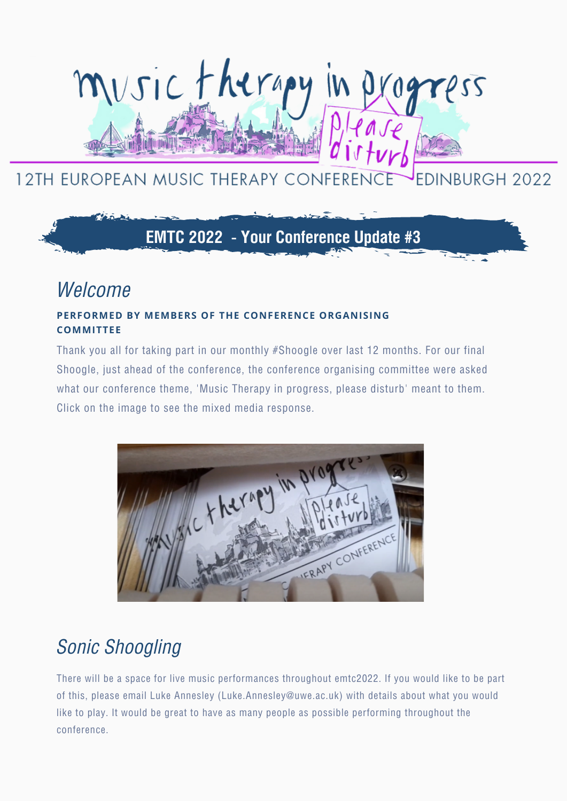# musictherapy

#### 12TH EUROPEAN MUSIC THERAPY CONFEREN **EDINBURGH 2022**

## **EMTC 2022 - Your Conference Update #3**

## *Welcome*

#### **PERFORMED BY MEMBERS OF THE CONFERENCE ORGANISING COMMITTEE**

Thank you all for taking part in our monthly #Shoogle over last 12 months. For our final Shoogle, just ahead of the conference, the conference organising committee were asked what our conference theme, 'Music Therapy in progress, please disturb' meant to them. Click on the image to see the mixed media response.



## *Sonic Shoogling*

There will be a space for live music performances throughout emtc2022. If you would like to be part of this, please email Luke Annesley ([Luke.Annesley@uwe.ac.uk\)](mailto:Luke.Annesley@uwe.ac.uk) with details about what you would like to play. It would be great to have as many people as possible performing throughout the conference.